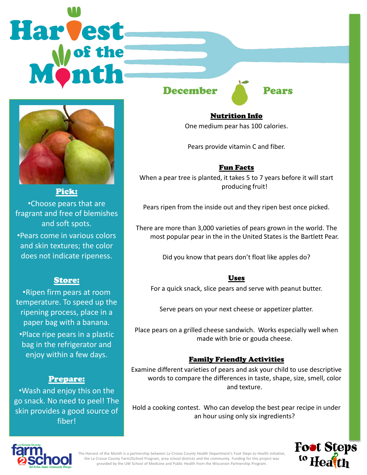# **Harvest**



#### Pick:

•Choose pears that are fragrant and free of blemishes and soft spots.

•Pears come in various colors and skin textures; the color does not indicate ripeness.

### Store:

•Ripen firm pears at room temperature. To speed up the ripening process, place in a paper bag with a banana.

•Place ripe pears in a plastic bag in the refrigerator and enjoy within a few days.

### Prepare:

•Wash and enjoy this on the go snack. No need to peel! The skin provides a good source of fiber!

December **Pears** 

Nutrition Info One medium pear has 100 calories.

Pears provide vitamin C and fiber.

# Fun Facts

When a pear tree is planted, it takes 5 to 7 years before it will start producing fruit!

Pears ripen from the inside out and they ripen best once picked.

There are more than 3,000 varieties of pears grown in the world. The most popular pear in the in the United States is the Bartlett Pear.

Did you know that pears don't float like apples do?

#### Uses

For a quick snack, slice pears and serve with peanut butter.

Serve pears on your next cheese or appetizer platter.

Place pears on a grilled cheese sandwich. Works especially well when made with brie or gouda cheese.

### Family Friendly Activities

Examine different varieties of pears and ask your child to use descriptive words to compare the differences in taste, shape, size, smell, color and texture.

Hold a cooking contest. Who can develop the best pear recipe in under an hour using only six ingredients?